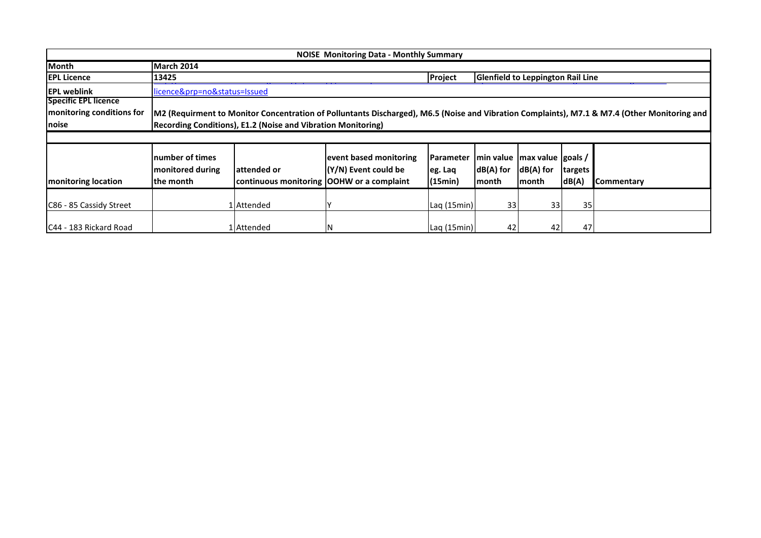|                             |                                                   |                                                              | <b>NOISE Monitoring Data - Monthly Summary</b> |                                        |                       |                                                         |                  |                                                                                                                                              |
|-----------------------------|---------------------------------------------------|--------------------------------------------------------------|------------------------------------------------|----------------------------------------|-----------------------|---------------------------------------------------------|------------------|----------------------------------------------------------------------------------------------------------------------------------------------|
| Month                       | March 2014                                        |                                                              |                                                |                                        |                       |                                                         |                  |                                                                                                                                              |
| <b>IEPL Licence</b>         | 13425                                             |                                                              |                                                | <b>Project</b>                         |                       | <b>Glenfield to Leppington Rail Line</b>                |                  |                                                                                                                                              |
| <b>IEPL weblink</b>         | licence&prp=no&status=Issued                      |                                                              |                                                |                                        |                       |                                                         |                  |                                                                                                                                              |
| <b>Specific EPL licence</b> |                                                   |                                                              |                                                |                                        |                       |                                                         |                  |                                                                                                                                              |
| monitoring conditions for   |                                                   |                                                              |                                                |                                        |                       |                                                         |                  | M2 (Requirment to Monitor Concentration of Polluntants Discharged), M6.5 (Noise and Vibration Complaints), M7.1 & M7.4 (Other Monitoring and |
| <b>Inoise</b>               |                                                   | Recording Conditions), E1.2 (Noise and Vibration Monitoring) |                                                |                                        |                       |                                                         |                  |                                                                                                                                              |
|                             |                                                   |                                                              |                                                |                                        |                       |                                                         |                  |                                                                                                                                              |
| <b>Imonitoring location</b> | number of times<br>monitored during<br>lthe month | lattended or<br>continuous monitoring OOHW or a complaint    | event based monitoring<br>(Y/N) Event could be | <b>Parameter</b><br>eg. Laq<br>(15min) | $dB(A)$ for<br> month | min value   max value   goals /<br>$dB(A)$ for<br>month | targets<br>dB(A) | Commentary                                                                                                                                   |
| C86 - 85 Cassidy Street     |                                                   | . Attended                                                   |                                                | Laq (15min)                            | 33                    | 33                                                      | 35               |                                                                                                                                              |
| C44 - 183 Rickard Road      |                                                   | l   Attended                                                 | N                                              | Laq (15min)                            | 42                    | 42                                                      | 47               |                                                                                                                                              |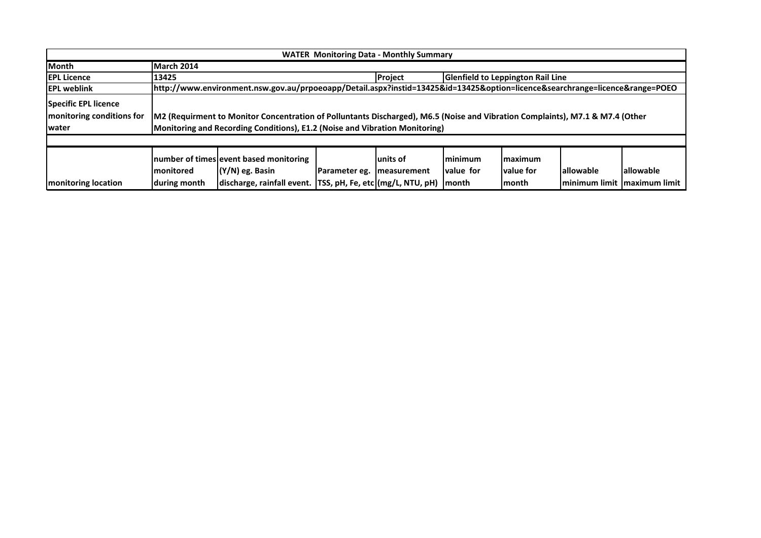|                                                                    |                            |                                                                                                                                                                                                              |               | <b>WATER Monitoring Data - Monthly Summary</b> |                                               |                                          |                                             |            |
|--------------------------------------------------------------------|----------------------------|--------------------------------------------------------------------------------------------------------------------------------------------------------------------------------------------------------------|---------------|------------------------------------------------|-----------------------------------------------|------------------------------------------|---------------------------------------------|------------|
| <b>I</b> Month                                                     | March 2014                 |                                                                                                                                                                                                              |               |                                                |                                               |                                          |                                             |            |
| <b>IEPL Licence</b>                                                | 13425                      |                                                                                                                                                                                                              |               | Project                                        |                                               | <b>Glenfield to Leppington Rail Line</b> |                                             |            |
| <b>IEPL weblink</b>                                                |                            | http://www.environment.nsw.gov.au/prpoeoapp/Detail.aspx?instid=13425&id=13425&option=licence&searchrange=licence⦥=POEO                                                                                       |               |                                                |                                               |                                          |                                             |            |
| Specific EPL licence<br>monitoring conditions for<br><b>Iwater</b> |                            | M2 (Requirment to Monitor Concentration of Polluntants Discharged), M6.5 (Noise and Vibration Complaints), M7.1 & M7.4 (Other<br>Monitoring and Recording Conditions), E1.2 (Noise and Vibration Monitoring) |               |                                                |                                               |                                          |                                             |            |
| <b>monitoring location</b>                                         | Imonitored<br>during month | number of times event based monitoring<br>$(N/N)$ eg. Basin<br>discharge, rainfall event.   TSS, pH, Fe, etc (mg/L, NTU, pH)                                                                                 | Parameter eg. | lunits of<br><b>Imeasurement</b>               | <b>Iminimum</b><br><b>value</b> for<br>lmonth | Imaximum<br><b>Ivalue</b> for<br>Imonth  | lallowable<br>minimum limit   maximum limit | lallowable |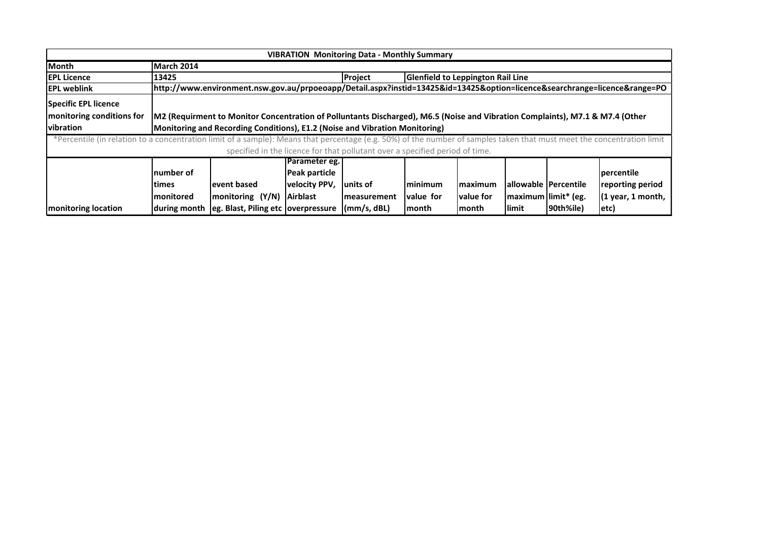|                                                                                                                                                                        |                                                                     |                                                                                                                               |                 | <b>VIBRATION Monitoring Data - Monthly Summary</b>                           |               |                   |                        |           |                     |
|------------------------------------------------------------------------------------------------------------------------------------------------------------------------|---------------------------------------------------------------------|-------------------------------------------------------------------------------------------------------------------------------|-----------------|------------------------------------------------------------------------------|---------------|-------------------|------------------------|-----------|---------------------|
| <b>Month</b>                                                                                                                                                           | March 2014                                                          |                                                                                                                               |                 |                                                                              |               |                   |                        |           |                     |
| <b>EPL Licence</b>                                                                                                                                                     | <b>Glenfield to Leppington Rail Line</b><br>13425<br><b>Project</b> |                                                                                                                               |                 |                                                                              |               |                   |                        |           |                     |
| <b>IEPL weblink</b>                                                                                                                                                    |                                                                     | http://www.environment.nsw.gov.au/prpoeoapp/Detail.aspx?instid=13425&id=13425&option=licence&searchrange=licence⦥=PO          |                 |                                                                              |               |                   |                        |           |                     |
| <b>Specific EPL licence</b>                                                                                                                                            |                                                                     |                                                                                                                               |                 |                                                                              |               |                   |                        |           |                     |
| monitoring conditions for                                                                                                                                              |                                                                     | M2 (Requirment to Monitor Concentration of Polluntants Discharged), M6.5 (Noise and Vibration Complaints), M7.1 & M7.4 (Other |                 |                                                                              |               |                   |                        |           |                     |
| <b>I</b> vibration                                                                                                                                                     |                                                                     | Monitoring and Recording Conditions), E1.2 (Noise and Vibration Monitoring)                                                   |                 |                                                                              |               |                   |                        |           |                     |
| *Percentile (in relation to a concentration limit of a sample): Means that percentage (e.g. 50%) of the number of samples taken that must meet the concentration limit |                                                                     |                                                                                                                               |                 |                                                                              |               |                   |                        |           |                     |
|                                                                                                                                                                        |                                                                     |                                                                                                                               |                 | specified in the licence for that pollutant over a specified period of time. |               |                   |                        |           |                     |
|                                                                                                                                                                        |                                                                     |                                                                                                                               | Parameter eg.   |                                                                              |               |                   |                        |           |                     |
|                                                                                                                                                                        | Inumber of                                                          |                                                                                                                               | Peak particle   |                                                                              |               |                   |                        |           | percentile          |
|                                                                                                                                                                        | ltimes                                                              | levent based                                                                                                                  | velocity PPV,   | lunits of                                                                    | Iminimum      | Imaximum          | allowable   Percentile |           | reporting period    |
|                                                                                                                                                                        | Imonitored                                                          | monitoring (Y/N)                                                                                                              | <b>Airblast</b> | <b>Imeasurement</b>                                                          | Ivalue for    | <b>Ivalue for</b> | maximum limit* (eg.    |           | $(1$ year, 1 month, |
| <b>Imonitoring location</b>                                                                                                                                            | during month                                                        | leg. Blast, Piling etc   overpressure                                                                                         |                 | (mm/s, dBL)                                                                  | <b>Imonth</b> | lmonth            | <b>Ilimit</b>          | 90th%ile) | etc)                |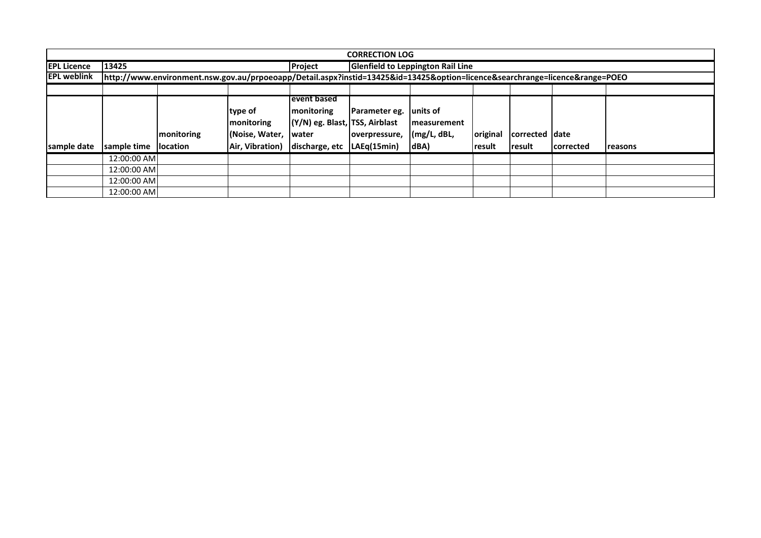|                     |                                                                                                                        |                                        |                                                                    |                                                                                                               | <b>CORRECTION LOG</b>          |                                                 |                    |                                 |                   |                |  |
|---------------------|------------------------------------------------------------------------------------------------------------------------|----------------------------------------|--------------------------------------------------------------------|---------------------------------------------------------------------------------------------------------------|--------------------------------|-------------------------------------------------|--------------------|---------------------------------|-------------------|----------------|--|
| <b>EPL Licence</b>  | 13425<br><b>Glenfield to Leppington Rail Line</b><br>Project                                                           |                                        |                                                                    |                                                                                                               |                                |                                                 |                    |                                 |                   |                |  |
| <b>IEPL weblink</b> | http://www.environment.nsw.gov.au/prpoeoapp/Detail.aspx?instid=13425&id=13425&option=licence&searchrange=licence⦥=POEO |                                        |                                                                    |                                                                                                               |                                |                                                 |                    |                                 |                   |                |  |
|                     |                                                                                                                        |                                        |                                                                    |                                                                                                               |                                |                                                 |                    |                                 |                   |                |  |
| sample date         | sample time                                                                                                            | <b>Imonitoring</b><br><b>Ilocation</b> | type of<br><b>Imonitoring</b><br>(Noise, Water,<br>Air, Vibration) | levent based<br><b>monitoring</b><br>(Y/N) eg. Blast, TSS, Airblast<br>lwater<br>discharge, etc   LAEq(15min) | Parameter eg.<br>overpressure, | units of<br>Imeasurement<br>(mg/L, dBL,<br>dBA) | original<br>result | corrected date<br><b>result</b> | <b>Icorrected</b> | <b>reasons</b> |  |
|                     | 12:00:00 AM                                                                                                            |                                        |                                                                    |                                                                                                               |                                |                                                 |                    |                                 |                   |                |  |
|                     | 12:00:00 AM                                                                                                            |                                        |                                                                    |                                                                                                               |                                |                                                 |                    |                                 |                   |                |  |
|                     | 12:00:00 AM                                                                                                            |                                        |                                                                    |                                                                                                               |                                |                                                 |                    |                                 |                   |                |  |
|                     | 12:00:00 AM                                                                                                            |                                        |                                                                    |                                                                                                               |                                |                                                 |                    |                                 |                   |                |  |